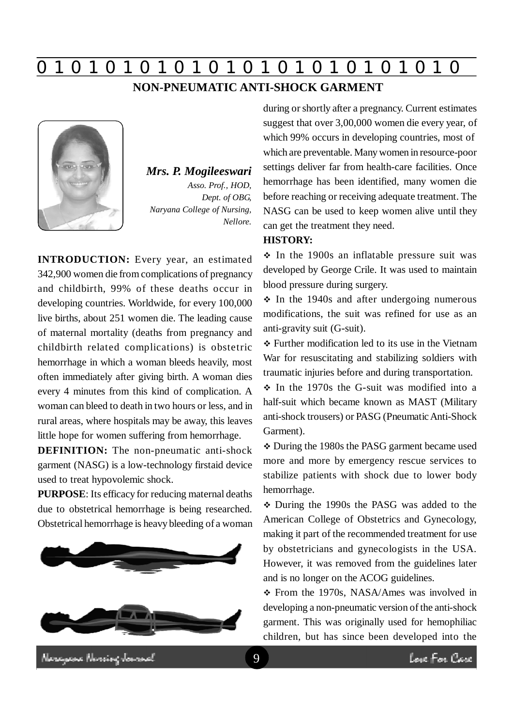# **0 z 0 z 0 z 0 z 0 z 0 z 0 z 0 z 0 z 0 z 0 z 0 z 0**

### **NON-PNEUMATIC ANTI-SHOCK GARMENT**



*Mrs. P. Mogileeswari Asso. Prof., HOD, Dept. of OBG, Naryana College of Nursing, Nellore.*

**INTRODUCTION:** Every year, an estimated 342,900 women die from complications of pregnancy and childbirth, 99% of these deaths occur in developing countries. Worldwide, for every 100,000 live births, about 251 women die. The leading cause of maternal mortality (deaths from pregnancy and childbirth related complications) is obstetric hemorrhage in which a woman bleeds heavily, most often immediately after giving birth. A woman dies every 4 minutes from this kind of complication. A woman can bleed to death in two hours or less, and in rural areas, where hospitals may be away, this leaves little hope for women suffering from hemorrhage.

**DEFINITION:** The non-pneumatic anti-shock garment (NASG) is a low-technology firstaid device used to treat hypovolemic shock.

**PURPOSE**: Its efficacy for reducing maternal deaths due to obstetrical hemorrhage is being researched. Obstetrical hemorrhage is heavy bleeding of a woman



during or shortly after a pregnancy. Current estimates suggest that over 3,00,000 women die every year, of which 99% occurs in developing countries, most of which are preventable. Many women in resource-poor settings deliver far from health-care facilities. Once hemorrhage has been identified, many women die before reaching or receiving adequate treatment. The NASG can be used to keep women alive until they can get the treatment they need.

#### **HISTORY:**

 $\div$  In the 1900s an inflatable pressure suit was developed by George Crile. It was used to maintain blood pressure during surgery.

 $\div$  In the 1940s and after undergoing numerous modifications, the suit was refined for use as an anti-gravity suit (G-suit).

 Further modification led to its use in the Vietnam War for resuscitating and stabilizing soldiers with traumatic injuries before and during transportation.

 $\div$  In the 1970s the G-suit was modified into a half-suit which became known as MAST (Military anti-shock trousers) or PASG (Pneumatic Anti-Shock Garment).

 During the 1980s the PASG garment became used more and more by emergency rescue services to stabilize patients with shock due to lower body hemorrhage.

 During the 1990s the PASG was added to the American College of Obstetrics and Gynecology, making it part of the recommended treatment for use by obstetricians and gynecologists in the USA. However, it was removed from the guidelines later and is no longer on the ACOG guidelines.

 From the 1970s, NASA/Ames was involved in developing a non-pneumatic version of the anti-shock garment. This was originally used for hemophiliac children, but has since been developed into the

lasayan Nordoz Jonand